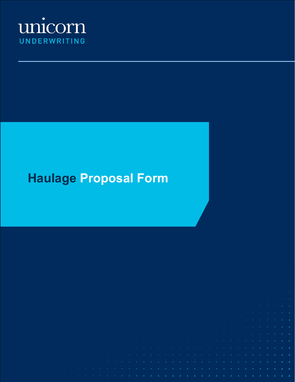

# **Haulage Proposal Form**

|  |  |  |  | in the principal of the principal of the principal of the principal of the principal of the principal of the principal of the principal of the principal of the principal of the principal of the principal of the principal |                                                                                                                |  |  |  |                                                                                                                 |  |  |  |  |  |                                                                                                                 |  |                                                                                                                                                                                                                                |
|--|--|--|--|------------------------------------------------------------------------------------------------------------------------------------------------------------------------------------------------------------------------------|----------------------------------------------------------------------------------------------------------------|--|--|--|-----------------------------------------------------------------------------------------------------------------|--|--|--|--|--|-----------------------------------------------------------------------------------------------------------------|--|--------------------------------------------------------------------------------------------------------------------------------------------------------------------------------------------------------------------------------|
|  |  |  |  |                                                                                                                                                                                                                              |                                                                                                                |  |  |  |                                                                                                                 |  |  |  |  |  |                                                                                                                 |  |                                                                                                                                                                                                                                |
|  |  |  |  | io le contra contra contra casta de la casta de la casta de la casta de la casta de la casta de la casta de la                                                                                                               |                                                                                                                |  |  |  |                                                                                                                 |  |  |  |  |  |                                                                                                                 |  |                                                                                                                                                                                                                                |
|  |  |  |  | STER SO TRESPORT OF ORDER ORDERS ON THE RELEASE OF THE RELEASE ON THE RELEASE OF THE CONTENT ORDER OF A STERN O                                                                                                              |                                                                                                                |  |  |  |                                                                                                                 |  |  |  |  |  |                                                                                                                 |  |                                                                                                                                                                                                                                |
|  |  |  |  | لله العلم العامل على من العامل العامل العامل العامل العامل العامل على العامل التي تعامل العامل العامل التي تعامل                                                                                                             |                                                                                                                |  |  |  |                                                                                                                 |  |  |  |  |  |                                                                                                                 |  |                                                                                                                                                                                                                                |
|  |  |  |  | in a basilik di milih kacamatan kan kacamatan kacamatan kacamatan kacamatan kacamatan kacamatan kacamatan kaca                                                                                                               |                                                                                                                |  |  |  |                                                                                                                 |  |  |  |  |  |                                                                                                                 |  |                                                                                                                                                                                                                                |
|  |  |  |  |                                                                                                                                                                                                                              | in the state of the state of the state of the state of the state of the state of the state of the state of the |  |  |  |                                                                                                                 |  |  |  |  |  |                                                                                                                 |  |                                                                                                                                                                                                                                |
|  |  |  |  |                                                                                                                                                                                                                              |                                                                                                                |  |  |  | The contract of the contract of the contract of the contract of the contract of the contract of the contract of |  |  |  |  |  |                                                                                                                 |  |                                                                                                                                                                                                                                |
|  |  |  |  |                                                                                                                                                                                                                              |                                                                                                                |  |  |  |                                                                                                                 |  |  |  |  |  | the contract of the contract of the contract of the contract of the contract of the contract of the contract of |  |                                                                                                                                                                                                                                |
|  |  |  |  |                                                                                                                                                                                                                              |                                                                                                                |  |  |  |                                                                                                                 |  |  |  |  |  |                                                                                                                 |  | The contract of the contract of the contract of the contract of the contract of                                                                                                                                                |
|  |  |  |  |                                                                                                                                                                                                                              |                                                                                                                |  |  |  |                                                                                                                 |  |  |  |  |  | the company of the company of the company of the company of the company of the company of                       |  |                                                                                                                                                                                                                                |
|  |  |  |  |                                                                                                                                                                                                                              |                                                                                                                |  |  |  |                                                                                                                 |  |  |  |  |  |                                                                                                                 |  | <b>CONTRACT AND RESIDENT AND RELEASED AND RELEASED FOR A STATE OF A STATE OF A STATE OF A STATE OF A STATE OF A ST</b>                                                                                                         |
|  |  |  |  |                                                                                                                                                                                                                              |                                                                                                                |  |  |  |                                                                                                                 |  |  |  |  |  |                                                                                                                 |  | the contract of the contract of the contract of the contract of the contract of the contract of the contract of                                                                                                                |
|  |  |  |  |                                                                                                                                                                                                                              |                                                                                                                |  |  |  |                                                                                                                 |  |  |  |  |  |                                                                                                                 |  | the property of the control of the control of the control of the control of the control of the control of the control of the control of the control of the control of the control of the control of the control of the control |
|  |  |  |  |                                                                                                                                                                                                                              |                                                                                                                |  |  |  |                                                                                                                 |  |  |  |  |  |                                                                                                                 |  | the second control of the second control of the second control of the second control of the second control of the second control of the second control of the second control of the second control of the second control of th |
|  |  |  |  |                                                                                                                                                                                                                              |                                                                                                                |  |  |  |                                                                                                                 |  |  |  |  |  |                                                                                                                 |  |                                                                                                                                                                                                                                |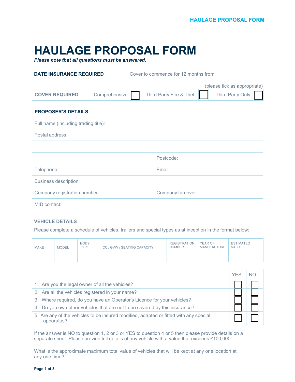# **HAULAGE PROPOSAL FORM**

*Please note that all questions must be answered.*

**DATE INSURANCE REQUIRED** Cover to commence for 12 months from:

|                       |               |                          | (please tick as appropriate) |
|-----------------------|---------------|--------------------------|------------------------------|
| <b>COVER REQUIRED</b> | Comprehensive | Third Party Fire & Theft | Third Party Only             |

## **PROPOSER'S DETAILS**

| Full name (including trading title): |                   |  |  |  |
|--------------------------------------|-------------------|--|--|--|
| Postal address:                      |                   |  |  |  |
|                                      |                   |  |  |  |
|                                      | Postcode:         |  |  |  |
| Telephone:                           | Email:            |  |  |  |
| <b>Business description:</b>         |                   |  |  |  |
| Company registration number:         | Company turnover: |  |  |  |
| MID contact:                         |                   |  |  |  |

## **VEHICLE DETAILS**

Please complete a schedule of vehicles, trailers and special types as at inception in the format below:

| <b>MAKE</b> | <b>MODEL</b> | <b>BODY</b><br><b>TYPE</b> | CC / GVW / SEATING CAPACITY | <b>REGISTRATION</b><br><b>NUMBER</b> | YEAR OF<br>MANUFACTURE | <b>ESTIMATED</b><br><b>VALUE</b> |
|-------------|--------------|----------------------------|-----------------------------|--------------------------------------|------------------------|----------------------------------|
|             |              |                            |                             |                                      |                        |                                  |

|                                                                                                     | <b>YFS</b> |  |
|-----------------------------------------------------------------------------------------------------|------------|--|
| 1. Are you the legal owner of all the vehicles?                                                     |            |  |
| 2. Are all the vehicles registered in your name?                                                    |            |  |
| 3. Where required, do you have an Operator's Licence for your vehicles?                             |            |  |
| 4. Do you own other vehicles that are not to be covered by this insurance?                          |            |  |
| 5. Are any of the vehicles to be insured modified, adapted or fitted with any special<br>apparatus? |            |  |

If the answer is NO to question 1, 2 or 3 or YES to question 4 or 5 then please provide details on a separate sheet. Please provide full details of any vehicle with a value that exceeds £100,000.

What is the approximate maximum total value of vehicles that will be kept at any one location at any one time?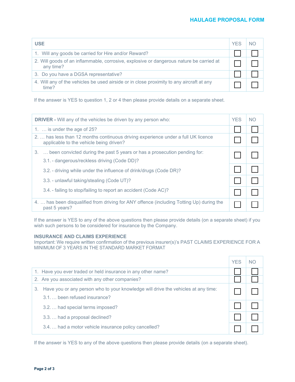| <b>USE</b>                                                                                           | <b>YFS</b> | NO. |
|------------------------------------------------------------------------------------------------------|------------|-----|
| 1. Will any goods be carried for Hire and/or Reward?                                                 |            |     |
| 2. Will goods of an inflammable, corrosive, explosive or dangerous nature be carried at<br>any time? |            |     |
| 3. Do you have a DGSA representative?                                                                |            |     |
| 4. Will any of the vehicles be used airside or in close proximity to any aircraft at any<br>time?    |            |     |

If the answer is YES to question 1, 2 or 4 then please provide details on a separate sheet.

| <b>DRIVER</b> - Will any of the vehicles be driven by any person who:                                                        | <b>YES</b> | <b>NO</b> |
|------------------------------------------------------------------------------------------------------------------------------|------------|-----------|
| 1. $\ldots$ is under the age of 25?                                                                                          |            |           |
| 2 has less than 12 months continuous driving experience under a full UK licence<br>applicable to the vehicle being driven?   |            |           |
| 3.  been convicted during the past 5 years or has a prosecution pending for:<br>3.1. - dangerous/reckless driving (Code DD)? |            |           |
| 3.2. - driving while under the influence of drink/drugs (Code DR)?                                                           |            |           |
| 3.3. - unlawful taking/stealing (Code UT)?                                                                                   |            |           |
| 3.4. - failing to stop/failing to report an accident (Code AC)?                                                              |            |           |
| 4.  has been disqualified from driving for ANY offence (including Totting Up) during the<br>past 5 years?                    |            |           |

If the answer is YES to any of the above questions then please provide details (on a separate sheet) if you wish such persons to be considered for insurance by the Company.

# **INSURANCE AND CLAIMS EXPERIENCE**

Important: We require written confirmation of the previous insurer(s)'s PAST CLAIMS EXPERIENCE FOR A MINIMUM OF 3 YEARS IN THE STANDARD MARKET FORMAT

|    |                                                                                                                   | <b>YES</b> |  |
|----|-------------------------------------------------------------------------------------------------------------------|------------|--|
|    | 1. Have you ever traded or held insurance in any other name?                                                      |            |  |
|    | 2. Are you associated with any other companies?                                                                   |            |  |
| З. | Have you or any person who to your knowledge will drive the vehicles at any time:<br>3.1. been refused insurance? |            |  |
|    | 3.2.  had special terms imposed?                                                                                  |            |  |
|    | 3.3.  had a proposal declined?                                                                                    |            |  |
|    | 3.4.  had a motor vehicle insurance policy cancelled?                                                             |            |  |

If the answer is YES to any of the above questions then please provide details (on a separate sheet).